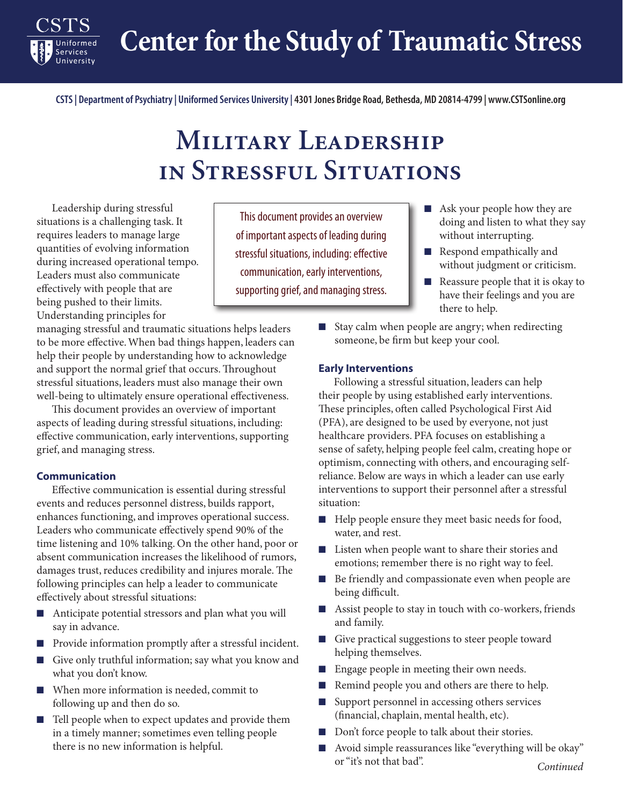**Center for the Study of Traumatic Stress**

**CSTS | Department of Psychiatry | Uniformed Services University | 4301 Jones Bridge Road, Bethesda, MD 20814-4799 | www.CSTSonline.org**

# **Military Leadership in Stressful Situations**

Leadership during stressful situations is a challenging task. It requires leaders to manage large quantities of evolving information during increased operational tempo. Leaders must also communicate effectively with people that are being pushed to their limits. Understanding principles for

Services

managing stressful and traumatic situations helps leaders to be more effective. When bad things happen, leaders can help their people by understanding how to acknowledge and support the normal grief that occurs. Throughout stressful situations, leaders must also manage their own well-being to ultimately ensure operational effectiveness.

This document provides an overview of important aspects of leading during stressful situations, including: effective communication, early interventions, supporting grief, and managing stress.

#### **Communication**

Effective communication is essential during stressful events and reduces personnel distress, builds rapport, enhances functioning, and improves operational success. Leaders who communicate effectively spend 90% of the time listening and 10% talking. On the other hand, poor or absent communication increases the likelihood of rumors, damages trust, reduces credibility and injures morale. The following principles can help a leader to communicate effectively about stressful situations:

- Anticipate potential stressors and plan what you will say in advance.
- Provide information promptly after a stressful incident.
- Give only truthful information; say what you know and what you don't know.
- When more information is needed, commit to following up and then do so.
- Tell people when to expect updates and provide them in a timely manner; sometimes even telling people there is no new information is helpful.

This document provides an overview of important aspects of leading during stressful situations, including: effective communication, early interventions, supporting grief, and managing stress.

- Ask your people how they are doing and listen to what they say without interrupting.
- Respond empathically and without judgment or criticism.
- Reassure people that it is okay to have their feelings and you are there to help.
- Stay calm when people are angry; when redirecting someone, be firm but keep your cool.

#### **Early Interventions**

Following a stressful situation, leaders can help their people by using established early interventions. These principles, often called Psychological First Aid (PFA), are designed to be used by everyone, not just healthcare providers. PFA focuses on establishing a sense of safety, helping people feel calm, creating hope or optimism, connecting with others, and encouraging selfreliance. Below are ways in which a leader can use early interventions to support their personnel after a stressful situation:

- Help people ensure they meet basic needs for food, water, and rest.
- Listen when people want to share their stories and emotions; remember there is no right way to feel.
- Be friendly and compassionate even when people are being difficult.
- Assist people to stay in touch with co-workers, friends and family.
- Give practical suggestions to steer people toward helping themselves.
- Engage people in meeting their own needs.
- Remind people you and others are there to help.
- Support personnel in accessing others services (financial, chaplain, mental health, etc).
- Don't force people to talk about their stories.
- *Continued* ■ Avoid simple reassurances like "everything will be okay" or "it's not that bad".